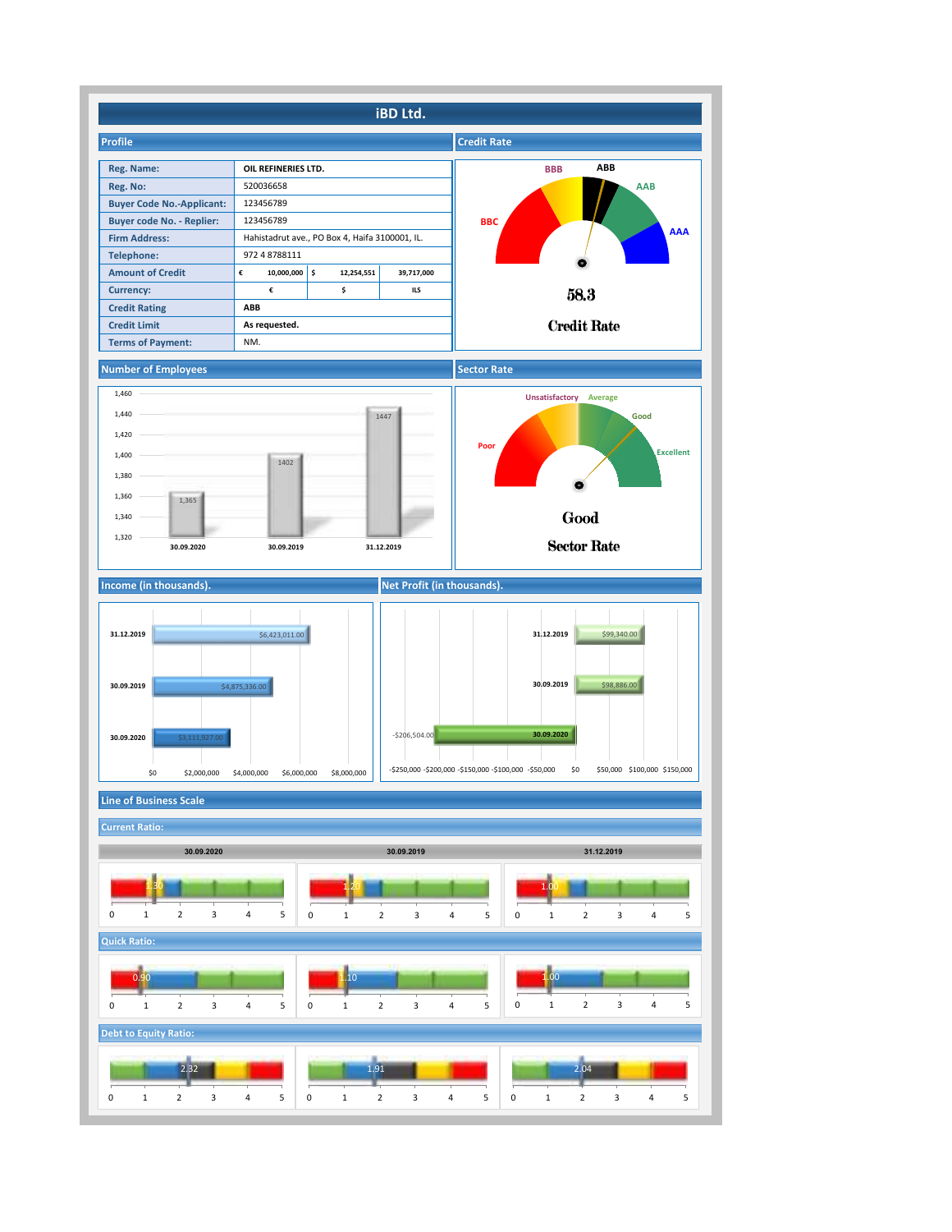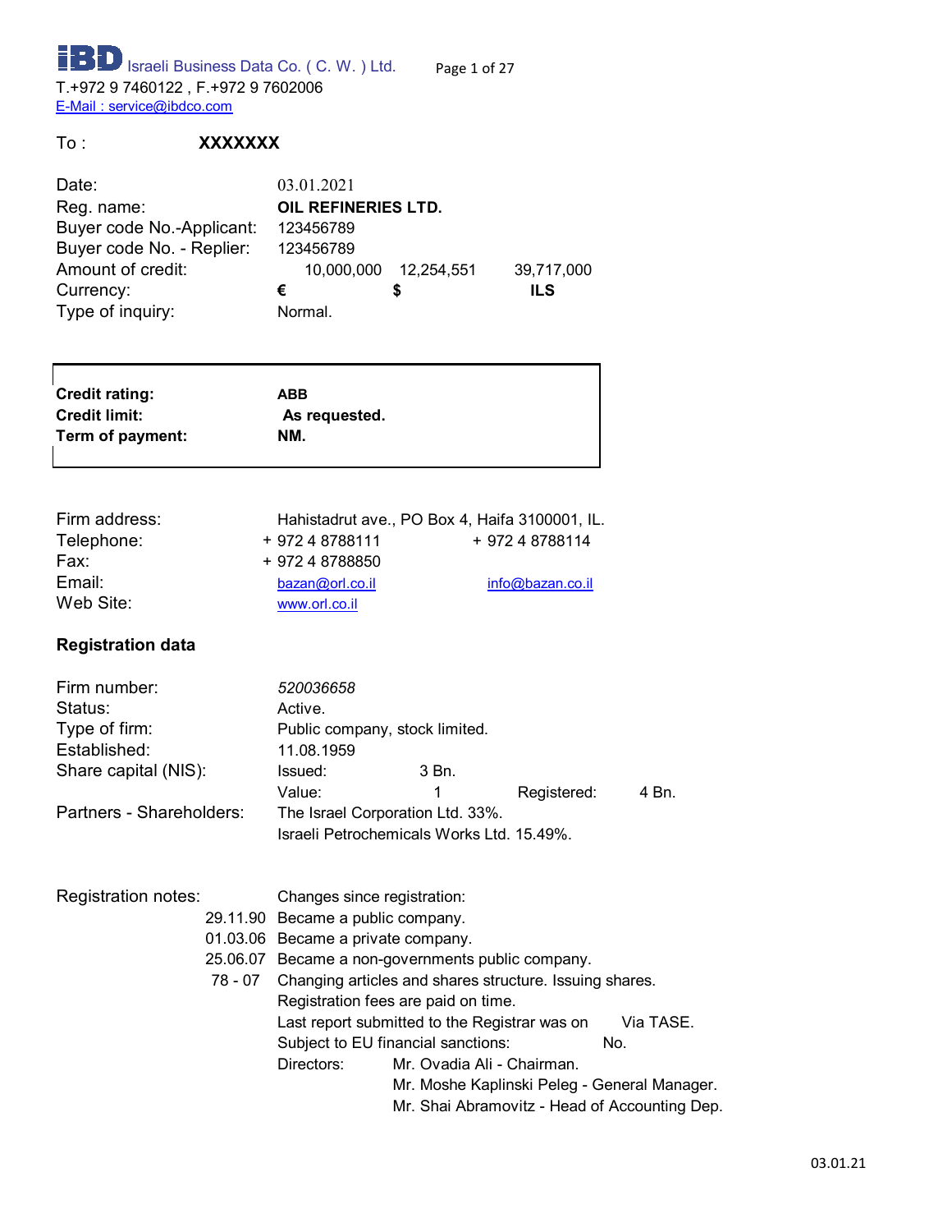**ISP** Israeli Business Data Co. ( C. W. ) Ltd. Page 1 of 27 T.+972 9 7460122 , F.+972 9 7602006 E-Mail : service@ibdco.com

To : **XXXXXXX**

| 03.01.2021          |  |                       |  |  |
|---------------------|--|-----------------------|--|--|
| OIL REFINERIES LTD. |  |                       |  |  |
| 123456789           |  |                       |  |  |
| 123456789           |  |                       |  |  |
|                     |  | 39,717,000            |  |  |
| €                   |  | ILS                   |  |  |
| Normal.             |  |                       |  |  |
|                     |  | 10,000,000 12,254,551 |  |  |

| <b>Credit rating:</b> | ABB           |  |
|-----------------------|---------------|--|
| <b>Credit limit:</b>  | As requested. |  |
| Term of payment:      | NM.           |  |
|                       |               |  |

| Firm address: |                 | Hahistadrut ave., PO Box 4, Haifa 3100001, IL. |
|---------------|-----------------|------------------------------------------------|
| Telephone:    | + 972 4 8788111 | + 972 4 8788114                                |
| Fax:          | + 972 4 8788850 |                                                |
| Email:        | bazan@orl.co.l  | info@bazan.co.il                               |
| Web Site:     | www.orl.co.il   |                                                |
|               |                 |                                                |

#### **Registration data**

| Firm number:<br>Status:<br>Type of firm:<br>Established: | 520036658<br>Active.<br>Public company, stock limited.<br>11.08.1959          |       |             |       |
|----------------------------------------------------------|-------------------------------------------------------------------------------|-------|-------------|-------|
| Share capital (NIS):                                     | Issued:<br>Value:                                                             | 3 Bn. | Registered: | 4 Bn. |
| Partners - Shareholders:                                 | The Israel Corporation Ltd. 33%.<br>Israeli Petrochemicals Works Ltd. 15.49%. |       |             |       |
| Registration notes:                                      | Changes since registration:                                                   |       |             |       |

| Jles∶ |          | Changes since registration:         |                                                         |           |  |  |
|-------|----------|-------------------------------------|---------------------------------------------------------|-----------|--|--|
|       |          | 29.11.90 Became a public company.   |                                                         |           |  |  |
|       |          | 01.03.06 Became a private company.  |                                                         |           |  |  |
|       | 25.06.07 |                                     | Became a non-governments public company.                |           |  |  |
|       | 78 - 07  |                                     | Changing articles and shares structure. Issuing shares. |           |  |  |
|       |          | Registration fees are paid on time. |                                                         |           |  |  |
|       |          |                                     | Last report submitted to the Registrar was on           | Via TASE. |  |  |
|       |          |                                     | Subject to EU financial sanctions:                      | No.       |  |  |
|       |          | Directors:                          | Mr. Ovadia Ali - Chairman.                              |           |  |  |
|       |          |                                     | Mr. Moshe Kaplinski Peleg - General Manager.            |           |  |  |
|       |          |                                     | Mr. Shai Abramovitz - Head of Accounting Dep.           |           |  |  |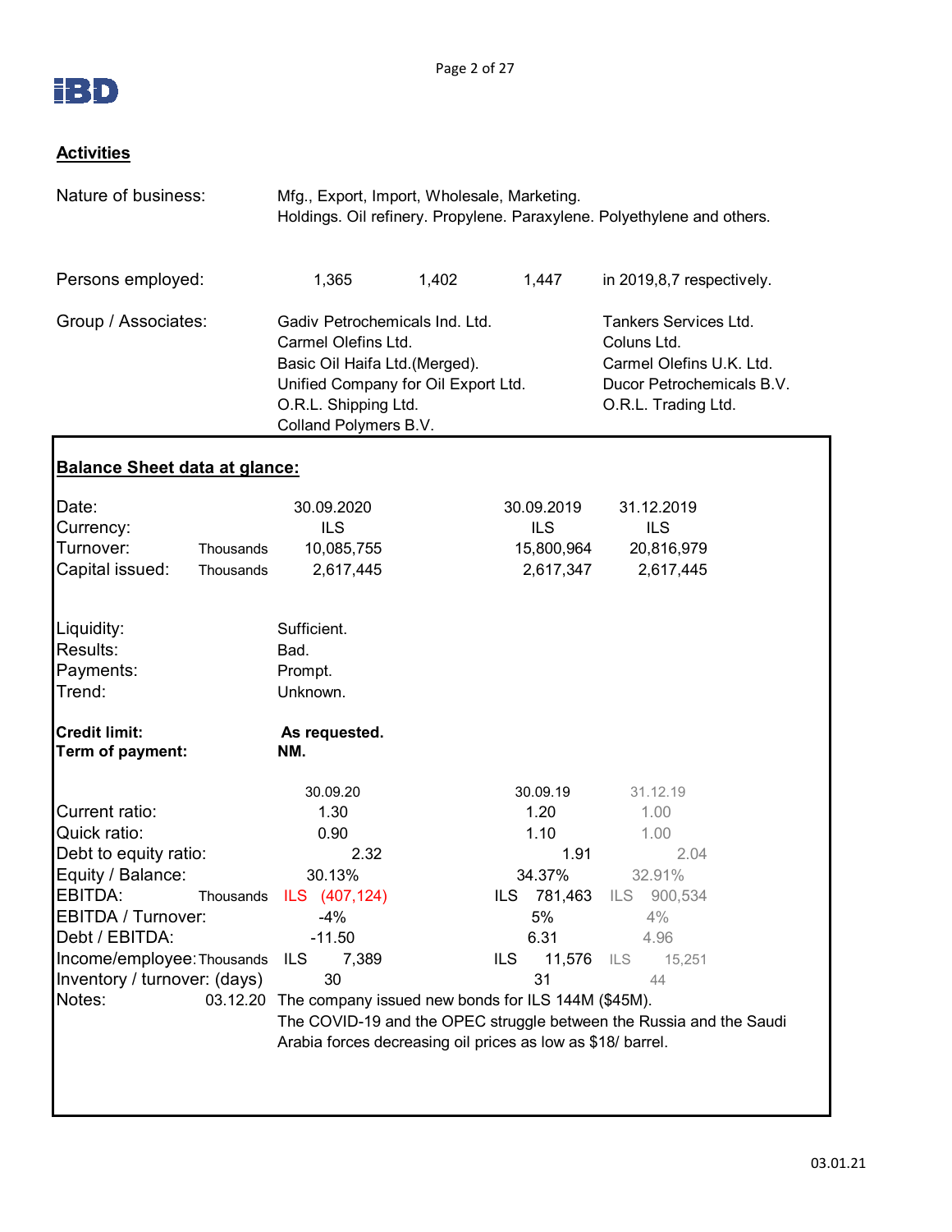

#### **Activities**

| Nature of business:                                                                                                                                                                                                  | Mfg., Export, Import, Wholesale, Marketing.                                                                                                                                                                                         |                    |                                                                                     | Holdings. Oil refinery. Propylene. Paraxylene. Polyethylene and others.                                                                                                  |
|----------------------------------------------------------------------------------------------------------------------------------------------------------------------------------------------------------------------|-------------------------------------------------------------------------------------------------------------------------------------------------------------------------------------------------------------------------------------|--------------------|-------------------------------------------------------------------------------------|--------------------------------------------------------------------------------------------------------------------------------------------------------------------------|
| Persons employed:                                                                                                                                                                                                    | 1,365                                                                                                                                                                                                                               | 1,402              | 1,447                                                                               | in 2019,8,7 respectively.                                                                                                                                                |
| Group / Associates:                                                                                                                                                                                                  | Gadiv Petrochemicals Ind. Ltd.<br>Carmel Olefins Ltd.<br>Basic Oil Haifa Ltd.(Merged).<br>Unified Company for Oil Export Ltd.<br>O.R.L. Shipping Ltd.<br>Colland Polymers B.V.                                                      |                    |                                                                                     | Tankers Services Ltd.<br>Coluns Ltd.<br>Carmel Olefins U.K. Ltd.<br>Ducor Petrochemicals B.V.<br>O.R.L. Trading Ltd.                                                     |
| <u>Balance Sheet data at glance:</u>                                                                                                                                                                                 |                                                                                                                                                                                                                                     |                    |                                                                                     |                                                                                                                                                                          |
| Date:<br>Currency:<br>Turnover:<br>Thousands<br>Capital issued:<br>Thousands                                                                                                                                         | 30.09.2020<br><b>ILS</b><br>10,085,755<br>2,617,445                                                                                                                                                                                 |                    | 30.09.2019<br><b>ILS</b><br>15,800,964<br>2,617,347                                 | 31.12.2019<br><b>ILS</b><br>20,816,979<br>2,617,445                                                                                                                      |
| Liquidity:<br>Results:<br>Payments:<br>Trend:                                                                                                                                                                        | Sufficient.<br>Bad.<br>Prompt.<br>Unknown.                                                                                                                                                                                          |                    |                                                                                     |                                                                                                                                                                          |
| <b>Credit limit:</b><br>Term of payment:                                                                                                                                                                             | As requested.<br>NM.                                                                                                                                                                                                                |                    |                                                                                     |                                                                                                                                                                          |
| Current ratio:<br>Quick ratio:<br>Debt to equity ratio:<br>Equity / Balance:<br>EBITDA:<br>Thousands<br>EBITDA / Turnover:<br>Debt / EBITDA:<br>Income/employee: Thousands<br>Inventory / turnover: (days)<br>Notes: | 30.09.20<br>1.30<br>0.90<br>2.32<br>30.13%<br>ILS (407,124)<br>-4%<br>$-11.50$<br>ILS.<br>7,389<br>30<br>03.12.20 The company issued new bonds for ILS 144M (\$45M).<br>Arabia forces decreasing oil prices as low as \$18/ barrel. | ILS.<br><b>ILS</b> | 30.09.19<br>1.20<br>1.10<br>1.91<br>34.37%<br>781,463<br>5%<br>6.31<br>11,576<br>31 | 31.12.19<br>1.00<br>1.00<br>2.04<br>32.91%<br>ILS<br>900,534<br>4%<br>4.96<br>ILS<br>15,251<br>44<br>The COVID-19 and the OPEC struggle between the Russia and the Saudi |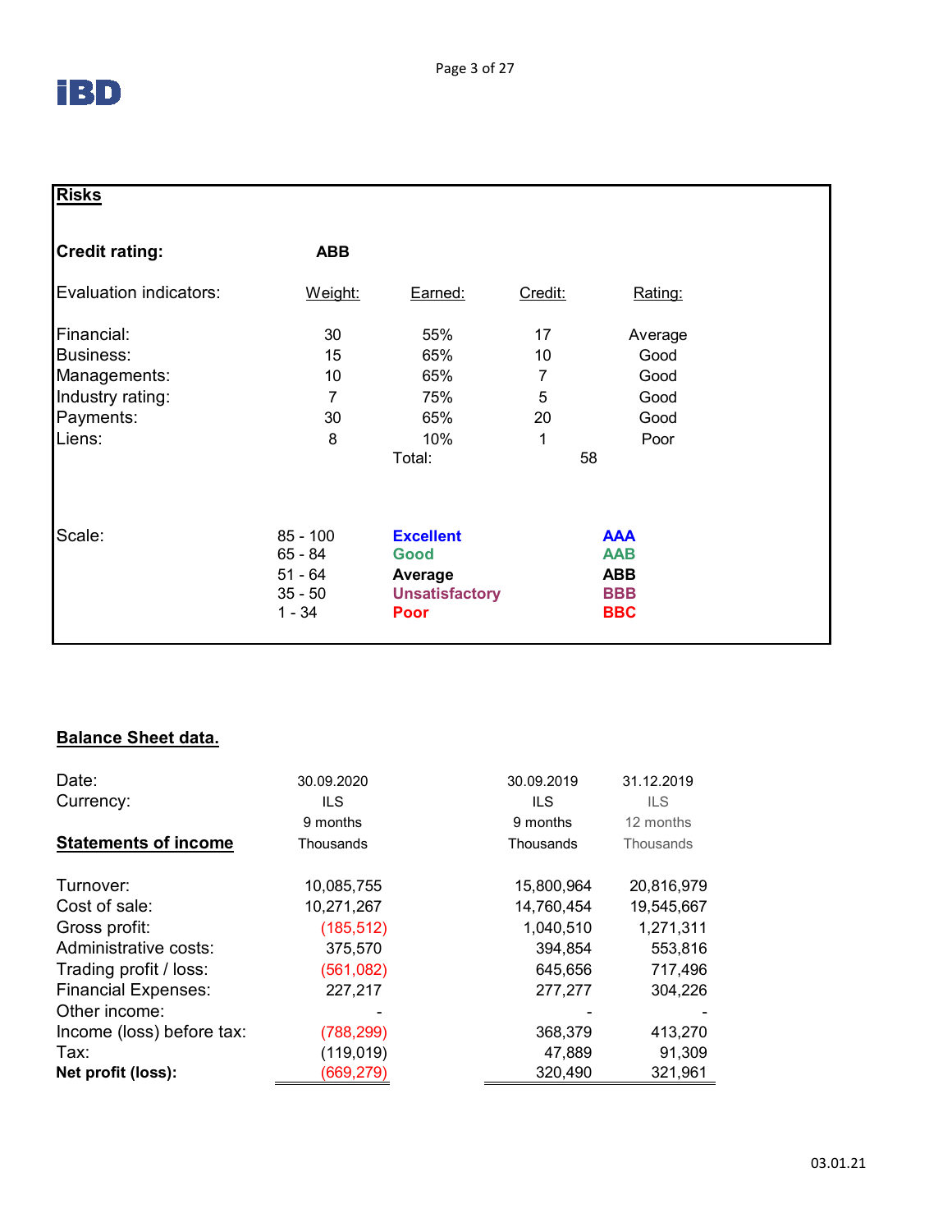| <b>Risks</b>           |                                      |                                     |         |                                        |
|------------------------|--------------------------------------|-------------------------------------|---------|----------------------------------------|
| <b>Credit rating:</b>  | <b>ABB</b>                           |                                     |         |                                        |
| Evaluation indicators: | Weight:                              | Earned:                             | Credit: | Rating:                                |
| Financial:             | 30                                   | 55%                                 | 17      | Average                                |
| Business:              | 15                                   | 65%                                 | 10      | Good                                   |
| Managements:           | 10                                   | 65%                                 | 7       | Good                                   |
| Industry rating:       | 7                                    | 75%                                 | 5       | Good                                   |
| Payments:              | 30                                   | 65%                                 | 20      | Good                                   |
| Liens:                 | 8                                    | 10%                                 | 1       | Poor                                   |
|                        |                                      | Total:                              |         | 58                                     |
| Scale:                 | $85 - 100$<br>$65 - 84$<br>$51 - 64$ | <b>Excellent</b><br>Good<br>Average |         | <b>AAA</b><br><b>AAB</b><br><b>ABB</b> |
|                        | $35 - 50$<br>$1 - 34$                | <b>Unsatisfactory</b><br>Poor       |         | <b>BBB</b><br><b>BBC</b>               |

## **Balance Sheet data.**

| Date:                       | 30.09.2020 | 30.09.2019 | 31.12.2019 |
|-----------------------------|------------|------------|------------|
| Currency:                   | ILS.       | ILS.       | ILS.       |
|                             | 9 months   | 9 months   | 12 months  |
| <b>Statements of income</b> | Thousands  | Thousands  | Thousands  |
| Turnover:                   | 10,085,755 | 15,800,964 | 20,816,979 |
| Cost of sale:               | 10,271,267 | 14,760,454 | 19,545,667 |
| Gross profit:               | (185, 512) | 1,040,510  | 1,271,311  |
| Administrative costs:       | 375,570    | 394,854    | 553,816    |
| Trading profit / loss:      | (561,082)  | 645,656    | 717,496    |
| <b>Financial Expenses:</b>  | 227,217    | 277,277    | 304,226    |
| Other income:               |            |            |            |
| Income (loss) before tax:   | (788, 299) | 368,379    | 413,270    |
| Tax:                        | (119, 019) | 47,889     | 91,309     |
| Net profit (loss):          | (669,279)  | 320,490    | 321,961    |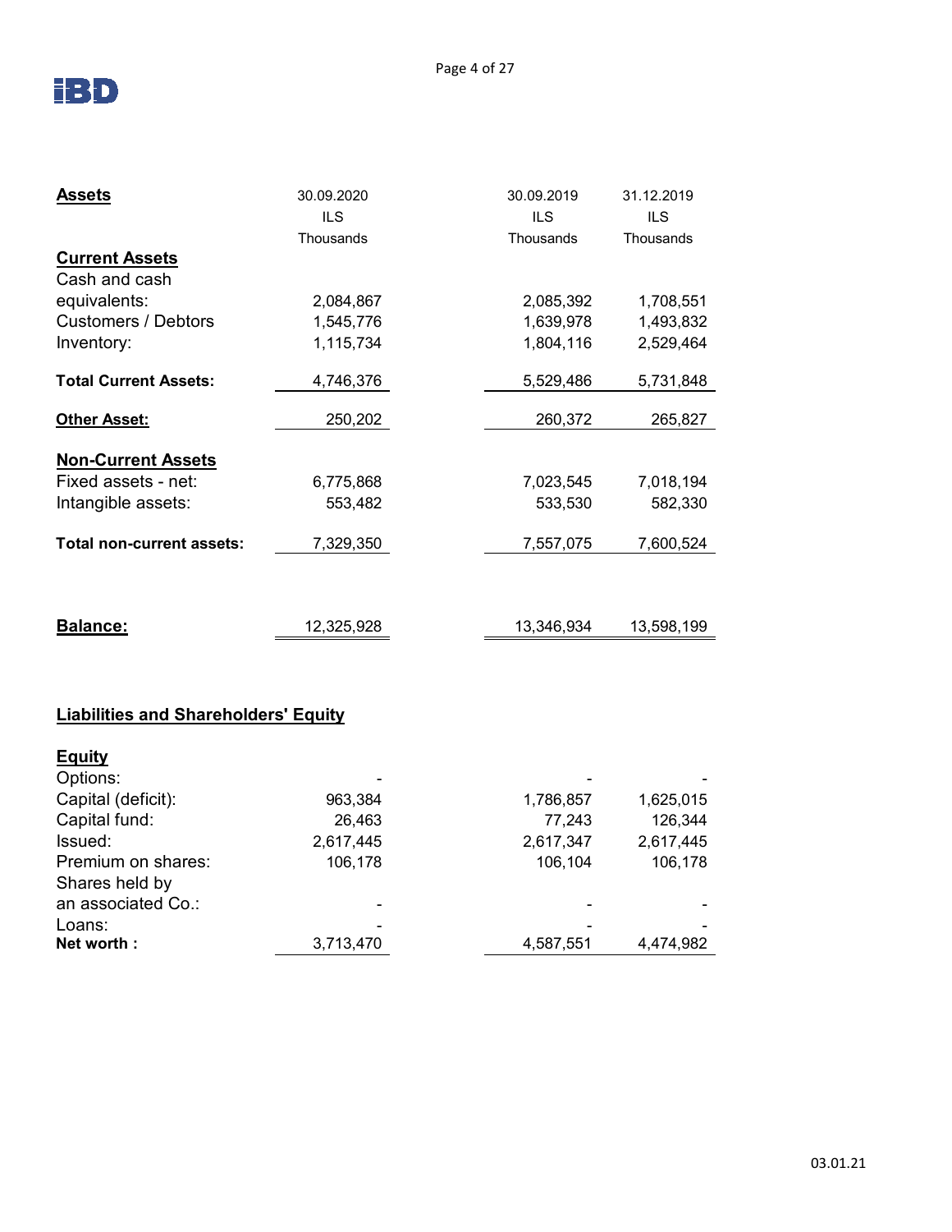

| <b>Assets</b>                | 30.09.2020 | 30.09.2019 | 31.12.2019 |
|------------------------------|------------|------------|------------|
|                              | <b>ILS</b> | <b>ILS</b> | <b>ILS</b> |
|                              | Thousands  | Thousands  | Thousands  |
| <b>Current Assets</b>        |            |            |            |
| Cash and cash                |            |            |            |
| equivalents:                 | 2,084,867  | 2,085,392  | 1,708,551  |
| <b>Customers / Debtors</b>   | 1,545,776  | 1,639,978  | 1,493,832  |
| Inventory:                   | 1,115,734  | 1,804,116  | 2,529,464  |
| <b>Total Current Assets:</b> | 4,746,376  | 5,529,486  | 5,731,848  |
| <b>Other Asset:</b>          | 250,202    | 260,372    | 265,827    |
| <b>Non-Current Assets</b>    |            |            |            |
| Fixed assets - net:          | 6,775,868  | 7,023,545  | 7,018,194  |
| Intangible assets:           | 553,482    | 533,530    | 582,330    |
| Total non-current assets:    | 7,329,350  | 7,557,075  | 7,600,524  |
|                              |            |            |            |
| <b>Balance:</b>              | 12,325,928 | 13,346,934 | 13,598,199 |

### **Liabilities and Shareholders' Equity**

| <b>Equity</b>                        |           |           |           |
|--------------------------------------|-----------|-----------|-----------|
| Options:                             |           |           |           |
| Capital (deficit):                   | 963,384   | 1,786,857 | 1,625,015 |
| Capital fund:                        | 26,463    | 77,243    | 126,344   |
| Issued:                              | 2,617,445 | 2,617,347 | 2,617,445 |
| Premium on shares:<br>Shares held by | 106,178   | 106,104   | 106,178   |
| an associated Co.:                   |           |           |           |
| Loans:                               |           |           | ۰         |
| Net worth:                           | 3,713,470 | 4,587,551 | 4,474,982 |
|                                      |           |           |           |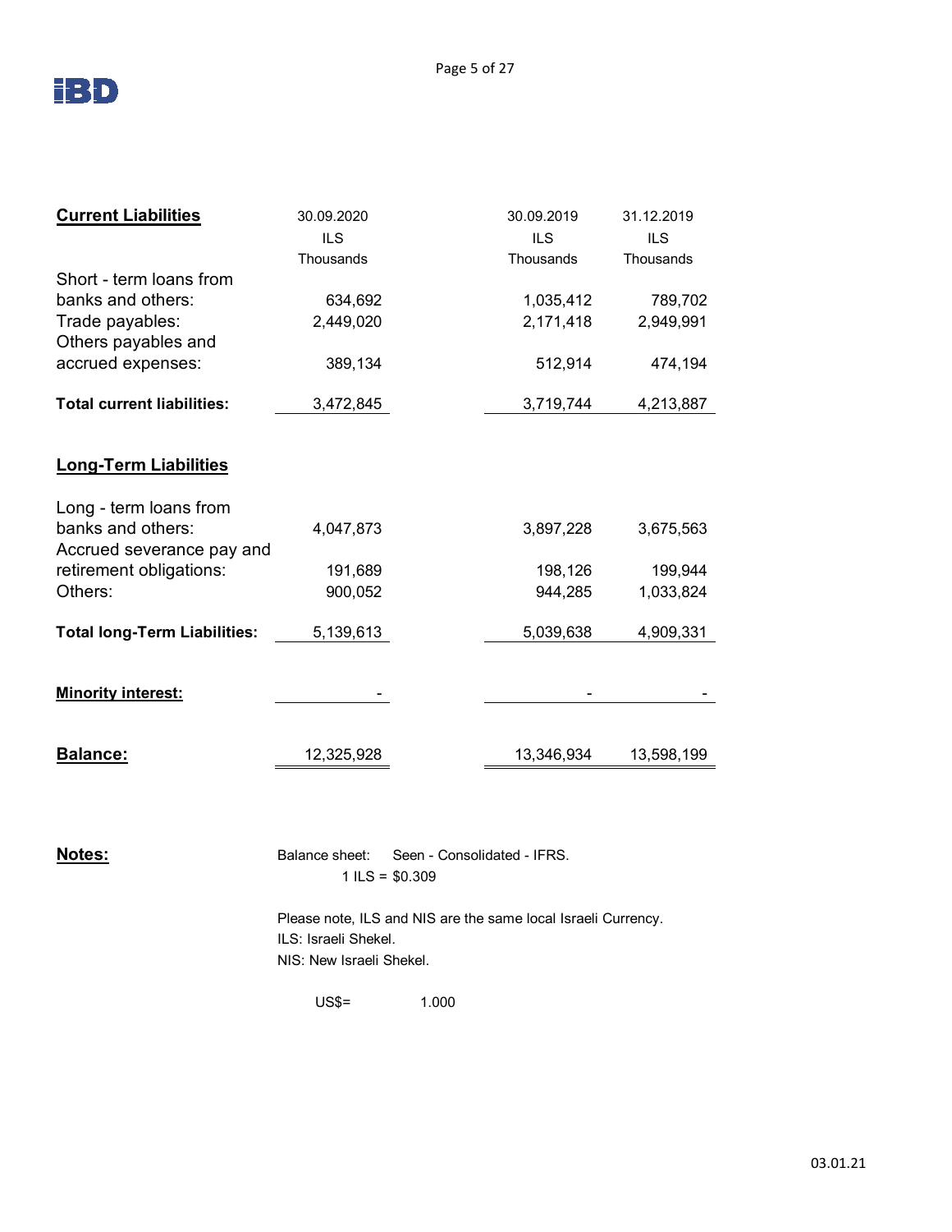

|            | <b>ILS</b>                              | <b>ILS</b> |
|------------|-----------------------------------------|------------|
| Thousands  | Thousands                               | Thousands  |
|            |                                         |            |
| 634,692    | 1,035,412                               | 789,702    |
| 2,449,020  | 2,171,418                               | 2,949,991  |
|            |                                         |            |
| 389,134    | 512,914                                 | 474,194    |
| 3,472,845  | 3,719,744                               | 4,213,887  |
|            |                                         |            |
|            |                                         |            |
|            |                                         |            |
| 4,047,873  | 3,897,228                               | 3,675,563  |
|            |                                         |            |
| 191,689    | 198,126                                 | 199,944    |
| 900,052    | 944,285                                 | 1,033,824  |
| 5,139,613  | 5,039,638                               | 4,909,331  |
|            |                                         |            |
|            |                                         |            |
| 12,325,928 | 13,346,934                              | 13,598,199 |
|            | <b>ILS</b><br>Accrued severance pay and |            |

**Notes: Balance sheet:** Seen - Consolidated - IFRS. 1 ILS =  $$0.309$ 

> Please note, ILS and NIS are the same local Israeli Currency. ILS: Israeli Shekel. NIS: New Israeli Shekel.

US\$= 1.000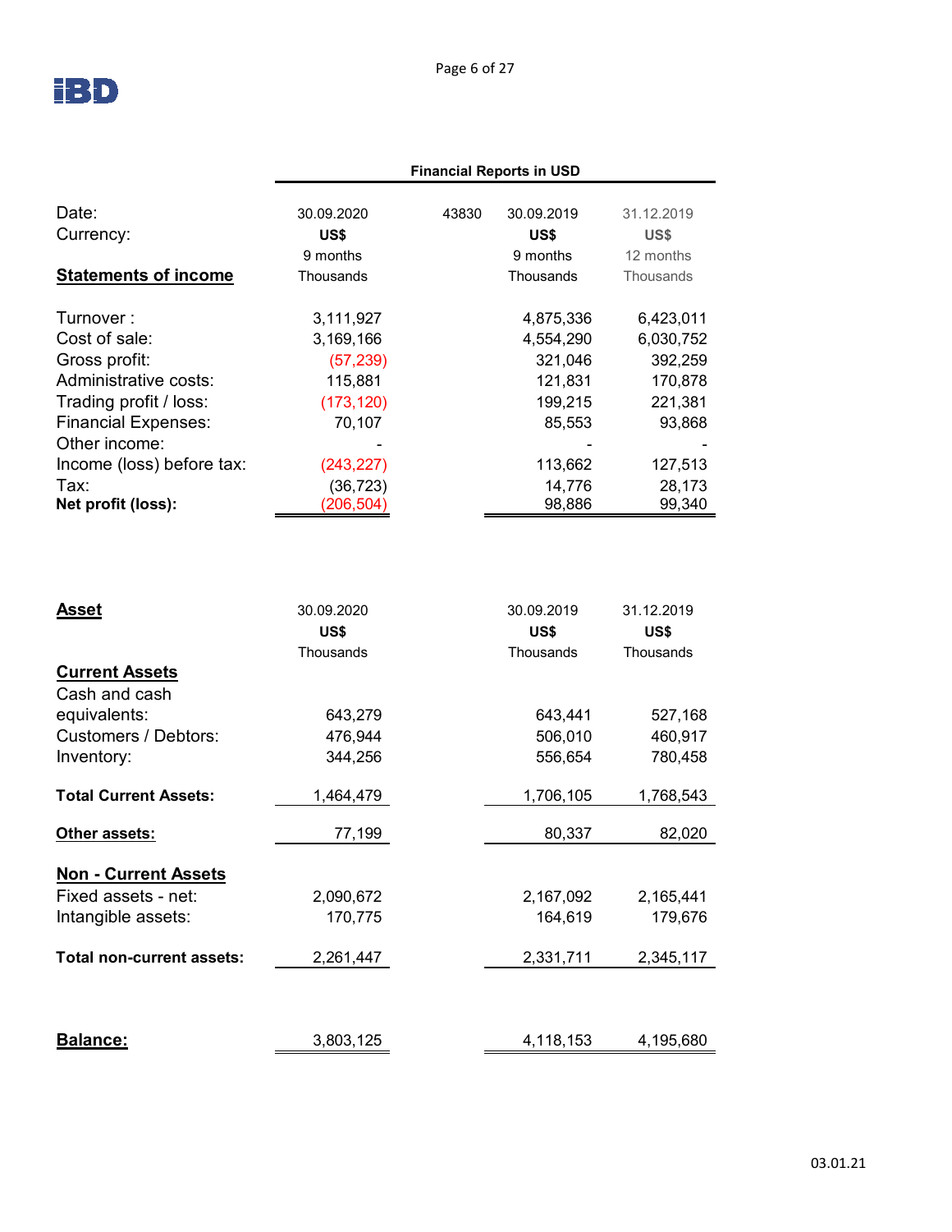

|                             |            |       | <b>Financial Reports in USD</b> |            |  |
|-----------------------------|------------|-------|---------------------------------|------------|--|
| Date:                       | 30.09.2020 | 43830 | 30.09.2019                      | 31.12.2019 |  |
| Currency:                   | US\$       |       | US\$                            | US\$       |  |
|                             | 9 months   |       | 9 months                        | 12 months  |  |
| <b>Statements of income</b> | Thousands  |       | Thousands                       | Thousands  |  |
| Turnover:                   | 3,111,927  |       | 4,875,336                       | 6,423,011  |  |
| Cost of sale:               | 3,169,166  |       | 4,554,290                       | 6,030,752  |  |
| Gross profit:               | (57, 239)  |       | 321,046                         | 392,259    |  |
| Administrative costs:       | 115,881    |       | 121,831                         | 170,878    |  |
| Trading profit / loss:      | (173, 120) |       | 199,215                         | 221,381    |  |
| <b>Financial Expenses:</b>  | 70,107     |       | 85,553                          | 93,868     |  |
| Other income:               |            |       |                                 |            |  |
| Income (loss) before tax:   | (243, 227) |       | 113,662                         | 127,513    |  |
| Tax:                        | (36, 723)  |       | 14,776                          | 28,173     |  |
| Net profit (loss):          | (206, 504) |       | 98,886                          | 99,340     |  |

| <b>Asset</b>                 | 30.09.2020<br>US\$<br>Thousands | 30.09.2019<br>US\$<br>Thousands | 31.12.2019<br>US\$<br>Thousands |
|------------------------------|---------------------------------|---------------------------------|---------------------------------|
| <b>Current Assets</b>        |                                 |                                 |                                 |
| Cash and cash                |                                 |                                 |                                 |
| equivalents:                 | 643,279                         | 643,441                         | 527,168                         |
| <b>Customers / Debtors:</b>  | 476,944                         | 506,010                         | 460,917                         |
| Inventory:                   | 344,256                         | 556,654                         | 780,458                         |
| <b>Total Current Assets:</b> | 1,464,479                       | 1,706,105                       | 1,768,543                       |
| Other assets:                | 77,199                          | 80,337                          | 82,020                          |
| <b>Non - Current Assets</b>  |                                 |                                 |                                 |
| Fixed assets - net:          | 2,090,672                       | 2,167,092                       | 2,165,441                       |
| Intangible assets:           | 170,775                         | 164,619                         | 179,676                         |
| Total non-current assets:    | 2,261,447                       | 2,331,711                       | 2,345,117                       |
|                              |                                 |                                 |                                 |
| Balance:                     | 3,803,125                       | 4,118,153                       | 4,195,680                       |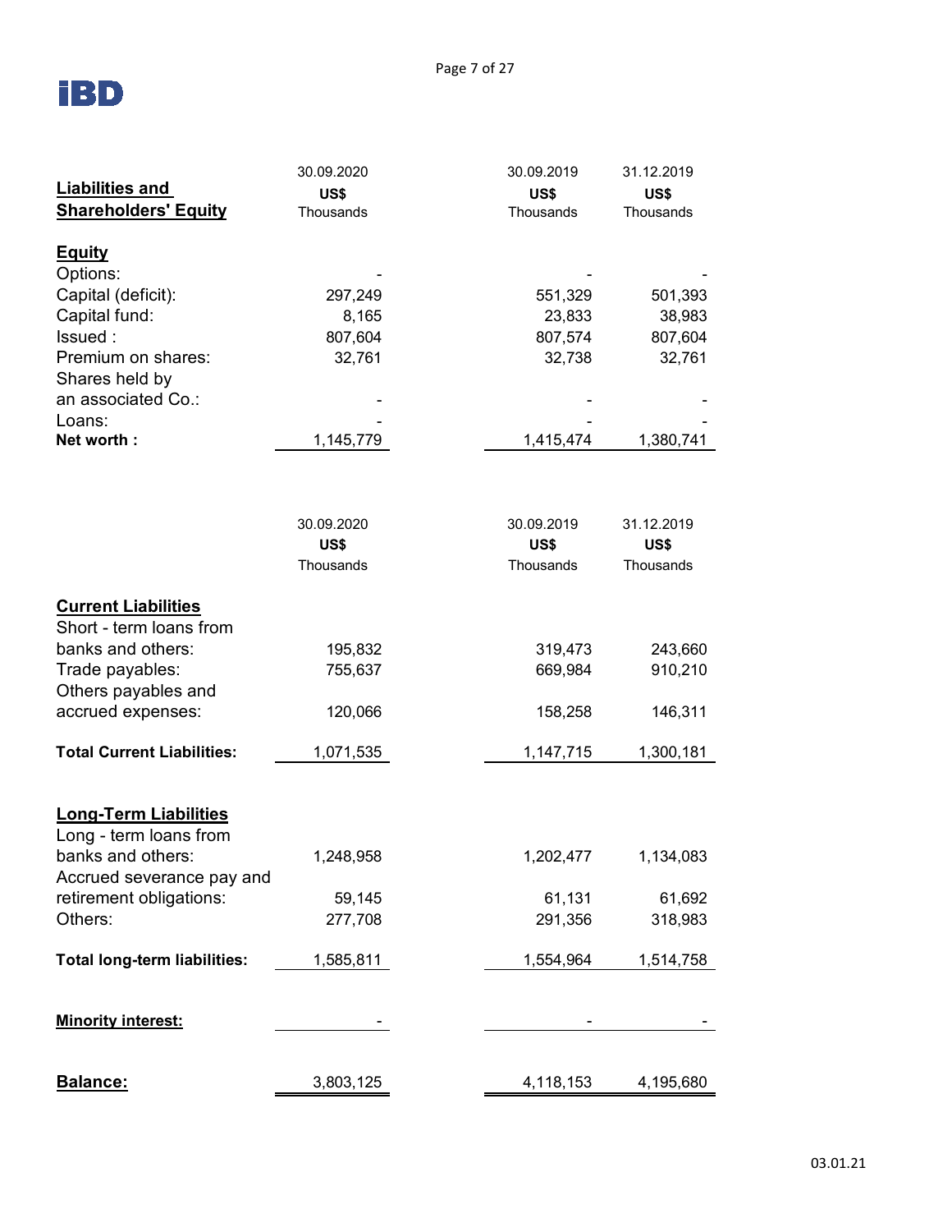# **IBD**

|                                     | 30.09.2020 | 30.09.2019 | 31.12.2019 |  |  |
|-------------------------------------|------------|------------|------------|--|--|
| <b>Liabilities and</b>              | US\$       | US\$       | US\$       |  |  |
| <b>Shareholders' Equity</b>         | Thousands  | Thousands  | Thousands  |  |  |
|                                     |            |            |            |  |  |
| <b>Equity</b>                       |            |            |            |  |  |
| Options:                            |            |            |            |  |  |
| Capital (deficit):                  | 297,249    | 551,329    | 501,393    |  |  |
| Capital fund:                       | 8,165      | 23,833     | 38,983     |  |  |
| Issued:                             | 807,604    | 807,574    | 807,604    |  |  |
| Premium on shares:                  | 32,761     | 32,738     | 32,761     |  |  |
| Shares held by                      |            |            |            |  |  |
| an associated Co.:                  |            |            |            |  |  |
| Loans:                              |            |            |            |  |  |
| Net worth:                          | 1,145,779  | 1,415,474  | 1,380,741  |  |  |
|                                     |            |            |            |  |  |
|                                     | 30.09.2020 | 30.09.2019 | 31.12.2019 |  |  |
|                                     | US\$       | US\$       | US\$       |  |  |
|                                     | Thousands  | Thousands  | Thousands  |  |  |
| <b>Current Liabilities</b>          |            |            |            |  |  |
| Short - term loans from             |            |            |            |  |  |
| banks and others:                   | 195,832    | 319,473    | 243,660    |  |  |
| Trade payables:                     | 755,637    | 669,984    | 910,210    |  |  |
| Others payables and                 |            |            |            |  |  |
| accrued expenses:                   | 120,066    | 158,258    | 146,311    |  |  |
| <b>Total Current Liabilities:</b>   | 1,071,535  | 1,147,715  | 1,300,181  |  |  |
|                                     |            |            |            |  |  |
| <b>Long-Term Liabilities</b>        |            |            |            |  |  |
| Long - term loans from              |            |            |            |  |  |
| banks and others:                   | 1,248,958  | 1,202,477  | 1,134,083  |  |  |
| Accrued severance pay and           |            |            |            |  |  |
| retirement obligations:             | 59,145     | 61,131     | 61,692     |  |  |
| Others:                             | 277,708    | 291,356    | 318,983    |  |  |
| <b>Total long-term liabilities:</b> | 1,585,811  | 1,554,964  | 1,514,758  |  |  |
| <b>Minority interest:</b>           |            |            |            |  |  |
|                                     |            |            |            |  |  |
| Balance:                            | 3,803,125  | 4,118,153  | 4,195,680  |  |  |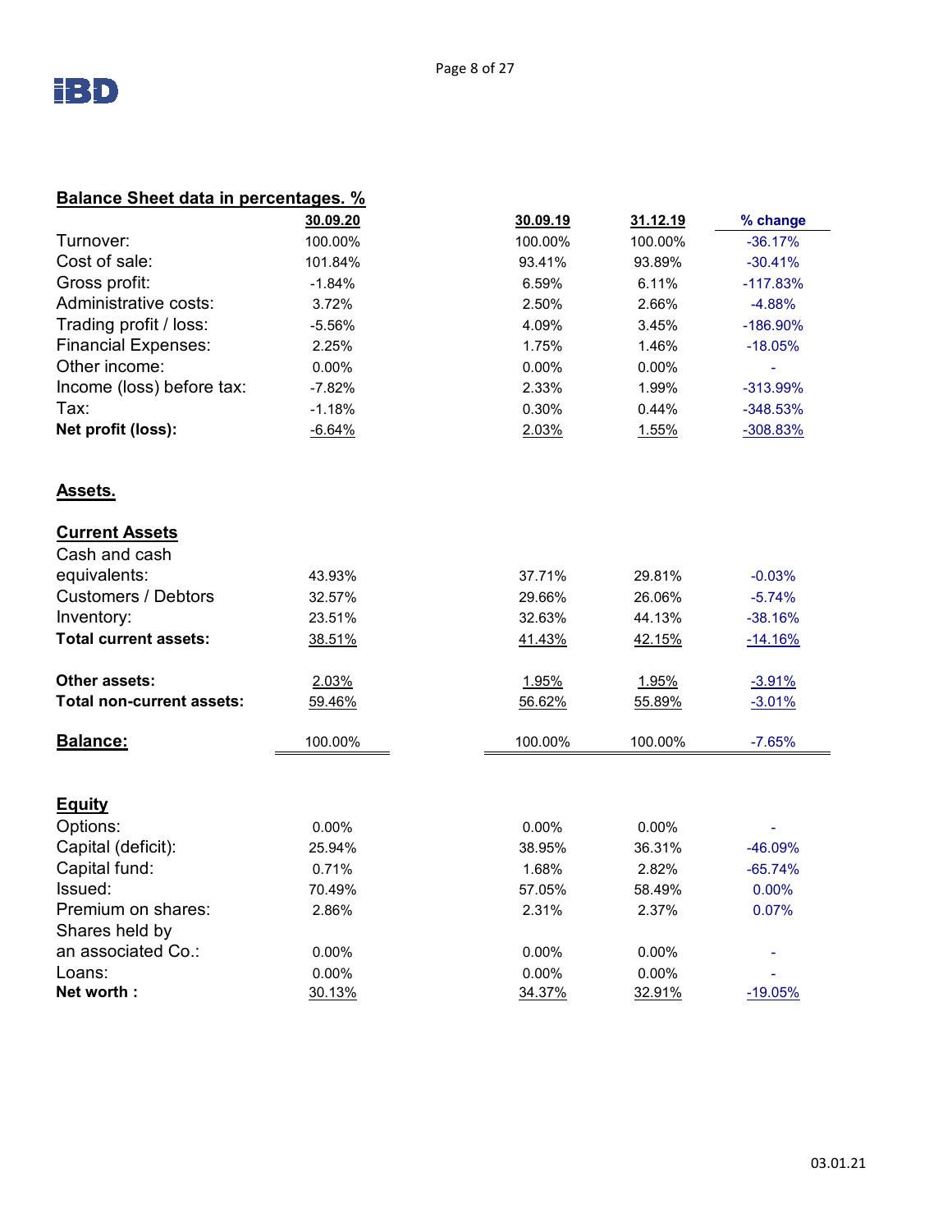

| <b>Balance Sheet data in percentages.</b> % |          |          |          |             |  |
|---------------------------------------------|----------|----------|----------|-------------|--|
|                                             | 30.09.20 | 30.09.19 | 31.12.19 | % change    |  |
| Turnover:                                   | 100.00%  | 100.00%  | 100.00%  | $-36.17%$   |  |
| Cost of sale:                               | 101.84%  | 93.41%   | 93.89%   | $-30.41%$   |  |
| Gross profit:                               | $-1.84%$ | 6.59%    | 6.11%    | $-117.83%$  |  |
| Administrative costs:                       | 3.72%    | 2.50%    | 2.66%    | $-4.88%$    |  |
| Trading profit / loss:                      | $-5.56%$ | 4.09%    | 3.45%    | $-186.90\%$ |  |
| <b>Financial Expenses:</b>                  | 2.25%    | 1.75%    | 1.46%    | $-18.05%$   |  |
| Other income:                               | 0.00%    | 0.00%    | $0.00\%$ |             |  |
| Income (loss) before tax:                   | $-7.82%$ | 2.33%    | 1.99%    | -313.99%    |  |
| Tax:                                        | $-1.18%$ | 0.30%    | 0.44%    | $-348.53%$  |  |
| Net profit (loss):                          | $-6.64%$ | 2.03%    | 1.55%    | $-308.83%$  |  |
| Assets.                                     |          |          |          |             |  |
| <b>Current Assets</b>                       |          |          |          |             |  |
| Cash and cash                               |          |          |          |             |  |
| equivalents:                                | 43.93%   | 37.71%   | 29.81%   | $-0.03%$    |  |
| <b>Customers / Debtors</b>                  | 32.57%   | 29.66%   | 26.06%   | $-5.74%$    |  |
| Inventory:                                  | 23.51%   | 32.63%   | 44.13%   | $-38.16%$   |  |
| <b>Total current assets:</b>                | 38.51%   | 41.43%   | 42.15%   | $-14.16%$   |  |
| Other assets:                               | 2.03%    | 1.95%    | 1.95%    | $-3.91%$    |  |
| <b>Total non-current assets:</b>            | 59.46%   | 56.62%   | 55.89%   | $-3.01%$    |  |
| Balance:                                    | 100.00%  | 100.00%  | 100.00%  | $-7.65%$    |  |
|                                             |          |          |          |             |  |
| <b>Equity</b>                               |          |          |          |             |  |
| Options:                                    | $0.00\%$ | 0.00%    | $0.00\%$ |             |  |
| Capital (deficit):                          | 25.94%   | 38.95%   | 36.31%   | -46.09%     |  |
| Capital fund:                               | 0.71%    | 1.68%    | 2.82%    | $-65.74%$   |  |
| Issued:                                     | 70.49%   | 57.05%   | 58.49%   | 0.00%       |  |
| Premium on shares:                          | 2.86%    | 2.31%    | 2.37%    | 0.07%       |  |
| Shares held by                              |          |          |          |             |  |
| an associated Co.:                          | 0.00%    | 0.00%    | 0.00%    |             |  |
| Loans:                                      | $0.00\%$ | 0.00%    | $0.00\%$ |             |  |
| Net worth:                                  | 30.13%   | 34.37%   | 32.91%   | $-19.05%$   |  |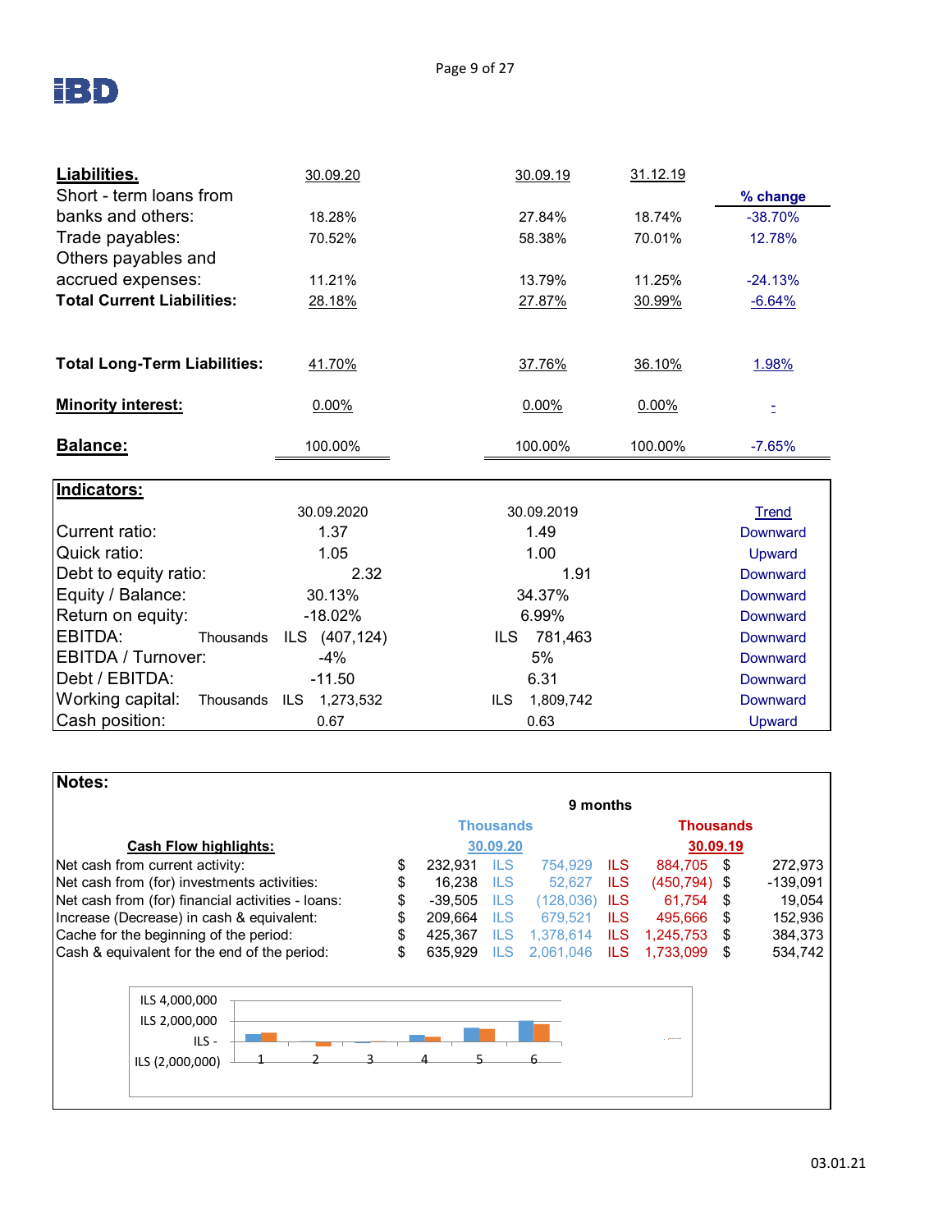

| Liabilities.                        | 30.09.20           | 31.12.19<br>30.09.19 |                    |
|-------------------------------------|--------------------|----------------------|--------------------|
| Short - term loans from             |                    |                      | % change           |
| banks and others:                   | 18.28%             | 18.74%<br>27.84%     | $-38.70%$          |
| Trade payables:                     | 70.52%             | 58.38%<br>70.01%     | 12.78%             |
| Others payables and                 |                    |                      |                    |
| accrued expenses:                   | 11.21%             | 11.25%<br>13.79%     | $-24.13%$          |
| <b>Total Current Liabilities:</b>   | 28.18%             | 27.87%<br>30.99%     | $-6.64%$           |
|                                     |                    |                      |                    |
| <b>Total Long-Term Liabilities:</b> | 41.70%             | 37.76%<br>36.10%     | 1.98%              |
| <b>Minority interest:</b>           | 0.00%              | 0.00%<br>0.00%       | Ż,                 |
| Balance:                            | 100.00%            | 100.00%<br>100.00%   | $-7.65%$           |
|                                     |                    |                      |                    |
| Indicators:                         |                    |                      |                    |
| Current ratio:                      | 30.09.2020<br>1.37 | 30.09.2019           | <b>Trend</b>       |
| Quick ratio:                        | 1.05               | 1.49<br>1.00         | Downward           |
| Debt to equity ratio:               | 2.32               | 1.91                 | Upward<br>Downward |
| Equity / Balance:                   | 30.13%             | 34.37%               | Downward           |
| Return on equity:                   | $-18.02%$          | 6.99%                | Downward           |
| EBITDA:<br>Thousands                | ILS (407,124)      | 781,463<br>ILS.      | <b>Downward</b>    |
| <b>EBITDA / Turnover:</b>           | $-4%$              | 5%                   | Downward           |
| Debt / EBITDA:                      | $-11.50$           | 6.31                 | <b>Downward</b>    |
| Working capital:<br>Thousands       | ILS 1,273,532      | 1,809,742<br>ILS     | <b>Downward</b>    |
| Cash position:                      | 0.67               | 0.63                 | Upward             |

| <b>Notes:</b>                                     |    |           |                  |            |            |                  |    |            |  |
|---------------------------------------------------|----|-----------|------------------|------------|------------|------------------|----|------------|--|
|                                                   |    |           |                  | 9 months   |            |                  |    |            |  |
|                                                   |    |           | <b>Thousands</b> |            |            | <b>Thousands</b> |    |            |  |
| <b>Cash Flow highlights:</b><br>30.09.20          |    |           |                  |            | 30.09.19   |                  |    |            |  |
| Net cash from current activity:                   | \$ | 232.931   | <b>ILS</b>       | 754.929    | ILS.       | 884,705          | S  | 272,973    |  |
| Net cash from (for) investments activities:       |    | 16.238    | <b>ILS</b>       | 52.627     | ILS        | $(450, 794)$ \$  |    | $-139,091$ |  |
| Net cash from (for) financial activities - loans: |    | $-39,505$ | <b>ILS</b>       | (128, 036) | ILS.       | 61.754           | \$ | 19,054     |  |
| Increase (Decrease) in cash & equivalent:         | \$ | 209.664   | ILS              | 679,521    | ILS.       | 495.666          | \$ | 152,936    |  |
| Cache for the beginning of the period:            | \$ | 425.367   | ILS              | 1.378.614  | <b>ILS</b> | 1,245,753        | \$ | 384,373    |  |
| Cash & equivalent for the end of the period:      | \$ | 635.929   | <b>ILS</b>       | 2,061,046  | ILS.       | 1.733.099        | \$ | 534,742    |  |
|                                                   |    |           |                  |            |            |                  |    |            |  |
| ILS 4,000,000                                     |    |           |                  |            |            |                  |    |            |  |
| ILS 2,000,000                                     |    |           |                  |            |            |                  |    |            |  |
| ILS-                                              |    |           |                  |            |            |                  |    |            |  |
| ILS (2,000,000)                                   |    |           |                  |            |            |                  |    |            |  |
|                                                   |    |           |                  |            |            |                  |    |            |  |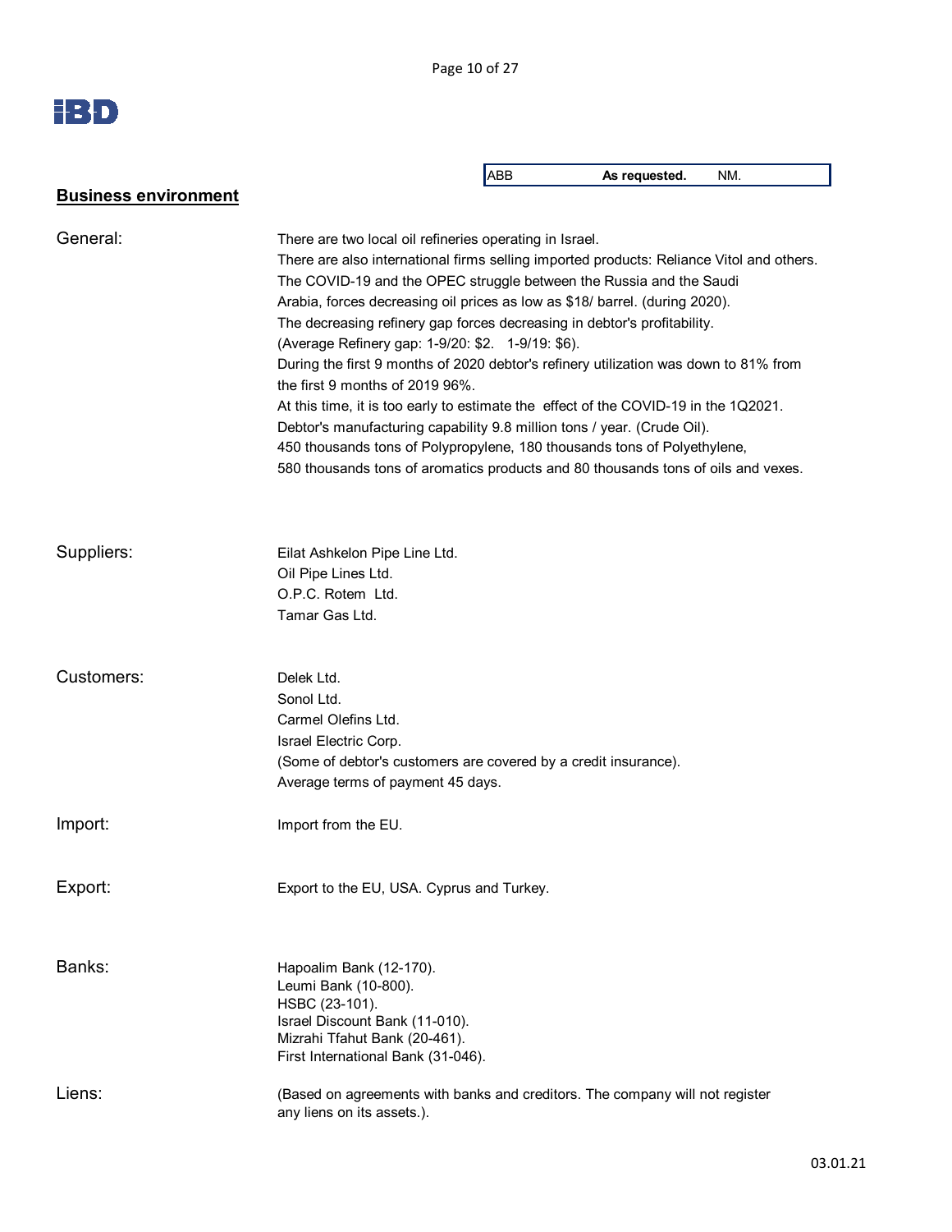Page 10 of 27

|                             |                                                                                                                                                                                                                                                                                                                                                                                                                                                                                                                                                                                                                                                                                                                                                                                                                                                                                                              | ABB | As requested. | NM. |
|-----------------------------|--------------------------------------------------------------------------------------------------------------------------------------------------------------------------------------------------------------------------------------------------------------------------------------------------------------------------------------------------------------------------------------------------------------------------------------------------------------------------------------------------------------------------------------------------------------------------------------------------------------------------------------------------------------------------------------------------------------------------------------------------------------------------------------------------------------------------------------------------------------------------------------------------------------|-----|---------------|-----|
| <b>Business environment</b> |                                                                                                                                                                                                                                                                                                                                                                                                                                                                                                                                                                                                                                                                                                                                                                                                                                                                                                              |     |               |     |
| General:                    | There are two local oil refineries operating in Israel.<br>There are also international firms selling imported products: Reliance Vitol and others.<br>The COVID-19 and the OPEC struggle between the Russia and the Saudi<br>Arabia, forces decreasing oil prices as low as \$18/ barrel. (during 2020).<br>The decreasing refinery gap forces decreasing in debtor's profitability.<br>(Average Refinery gap: 1-9/20: \$2. 1-9/19: \$6).<br>During the first 9 months of 2020 debtor's refinery utilization was down to 81% from<br>the first 9 months of $2019.96\%$ .<br>At this time, it is too early to estimate the effect of the COVID-19 in the 1Q2021.<br>Debtor's manufacturing capability 9.8 million tons / year. (Crude Oil).<br>450 thousands tons of Polypropylene, 180 thousands tons of Polyethylene,<br>580 thousands tons of aromatics products and 80 thousands tons of oils and vexes. |     |               |     |
| Suppliers:                  | Eilat Ashkelon Pipe Line Ltd.<br>Oil Pipe Lines Ltd.<br>O.P.C. Rotem Ltd.<br>Tamar Gas Ltd.                                                                                                                                                                                                                                                                                                                                                                                                                                                                                                                                                                                                                                                                                                                                                                                                                  |     |               |     |
| Customers:                  | Delek Ltd.<br>Sonol Ltd.<br>Carmel Olefins Ltd.<br>Israel Electric Corp.<br>(Some of debtor's customers are covered by a credit insurance).<br>Average terms of payment 45 days.                                                                                                                                                                                                                                                                                                                                                                                                                                                                                                                                                                                                                                                                                                                             |     |               |     |
| Import:                     | Import from the EU.                                                                                                                                                                                                                                                                                                                                                                                                                                                                                                                                                                                                                                                                                                                                                                                                                                                                                          |     |               |     |
| Export:                     | Export to the EU, USA. Cyprus and Turkey.                                                                                                                                                                                                                                                                                                                                                                                                                                                                                                                                                                                                                                                                                                                                                                                                                                                                    |     |               |     |
| Banks:                      | Hapoalim Bank (12-170).<br>Leumi Bank (10-800).<br>HSBC (23-101).<br>Israel Discount Bank (11-010).<br>Mizrahi Tfahut Bank (20-461).<br>First International Bank (31-046).                                                                                                                                                                                                                                                                                                                                                                                                                                                                                                                                                                                                                                                                                                                                   |     |               |     |
| Liens:                      | (Based on agreements with banks and creditors. The company will not register<br>any liens on its assets.).                                                                                                                                                                                                                                                                                                                                                                                                                                                                                                                                                                                                                                                                                                                                                                                                   |     |               |     |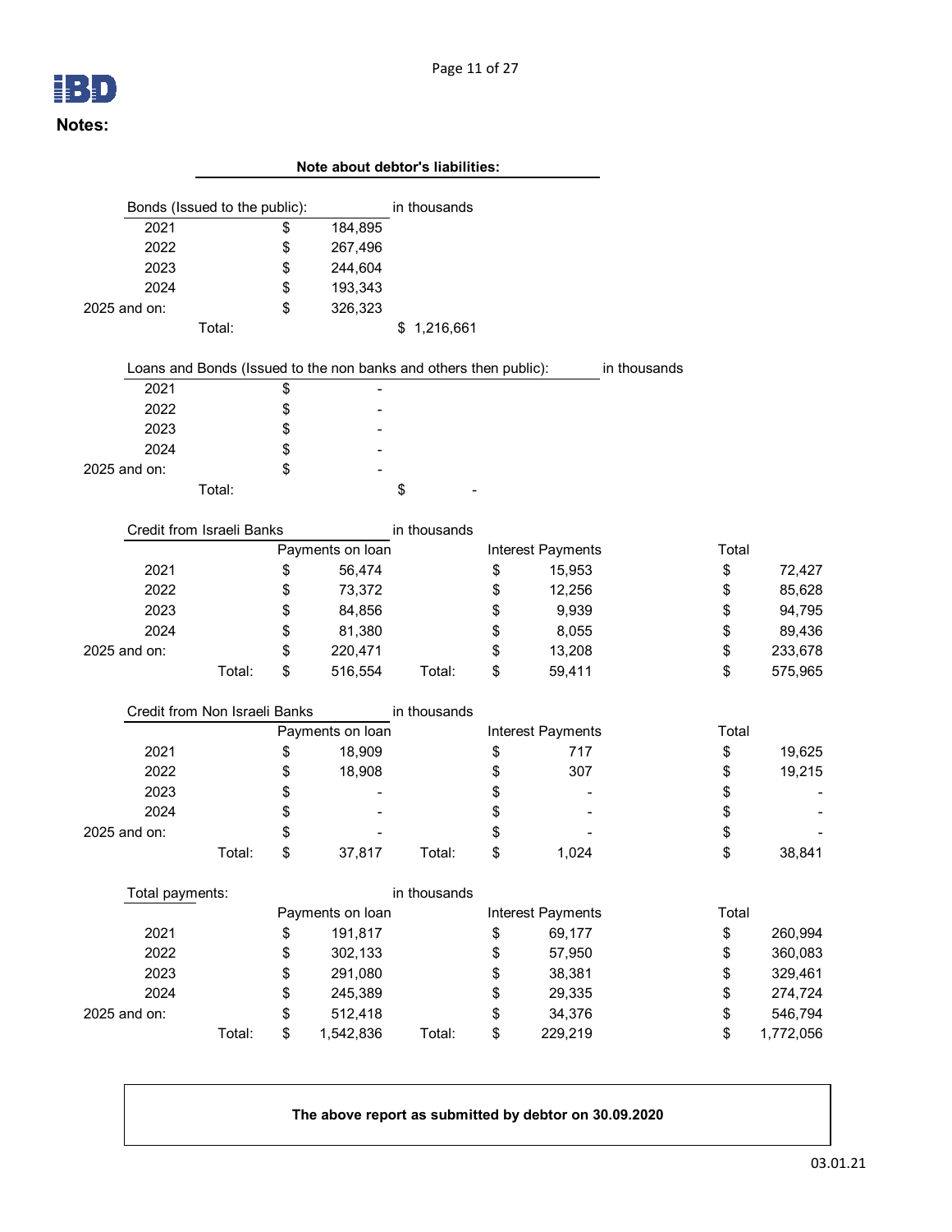#### Page 11 of 27

|                               |        |          | Note about debtor's liabilities:                                  |              |    |                   |              |          |           |
|-------------------------------|--------|----------|-------------------------------------------------------------------|--------------|----|-------------------|--------------|----------|-----------|
| Bonds (Issued to the public): |        |          |                                                                   | in thousands |    |                   |              |          |           |
| 2021                          |        | \$       | 184,895                                                           |              |    |                   |              |          |           |
| 2022                          |        | \$       | 267,496                                                           |              |    |                   |              |          |           |
| 2023                          |        | \$       | 244,604                                                           |              |    |                   |              |          |           |
| 2024                          |        | \$       | 193,343                                                           |              |    |                   |              |          |           |
| 2025 and on:                  |        | \$       | 326,323                                                           |              |    |                   |              |          |           |
|                               | Total: |          |                                                                   | \$1,216,661  |    |                   |              |          |           |
|                               |        |          |                                                                   |              |    |                   |              |          |           |
|                               |        |          | Loans and Bonds (Issued to the non banks and others then public): |              |    |                   | in thousands |          |           |
| 2021                          |        | \$       |                                                                   |              |    |                   |              |          |           |
| 2022                          |        | \$       |                                                                   |              |    |                   |              |          |           |
| 2023                          |        | \$       |                                                                   |              |    |                   |              |          |           |
| 2024                          |        | \$       |                                                                   |              |    |                   |              |          |           |
| 2025 and on:                  |        | \$       |                                                                   |              |    |                   |              |          |           |
|                               | Total: |          |                                                                   | \$           |    |                   |              |          |           |
|                               |        |          |                                                                   |              |    |                   |              |          |           |
| Credit from Israeli Banks     |        |          |                                                                   | in thousands |    |                   |              |          |           |
|                               |        |          | Payments on loan                                                  |              |    | Interest Payments |              | Total    |           |
| 2021                          |        | \$       | 56,474                                                            |              | \$ | 15,953            |              | \$       | 72,427    |
| 2022                          |        | \$       | 73,372                                                            |              | \$ | 12,256            |              | \$       | 85,628    |
| 2023                          |        | \$       | 84,856                                                            |              | \$ | 9,939             |              | \$       | 94,795    |
| 2024                          |        | \$       | 81,380                                                            |              | \$ | 8,055             |              | \$       | 89,436    |
| 2025 and on:                  | Total: | \$<br>\$ | 220,471                                                           |              | \$ | 13,208            |              | \$<br>\$ | 233,678   |
|                               |        |          | 516,554                                                           | Total:       | \$ | 59,411            |              |          | 575,965   |
| Credit from Non Israeli Banks |        |          |                                                                   | in thousands |    |                   |              |          |           |
|                               |        |          | Payments on loan                                                  |              |    | Interest Payments |              | Total    |           |
| 2021                          |        | \$       | 18,909                                                            |              | \$ | 717               |              | \$       | 19,625    |
| 2022                          |        | \$       | 18,908                                                            |              | \$ | 307               |              | \$       | 19,215    |
| 2023                          |        | \$       |                                                                   |              | \$ |                   |              | \$       |           |
| 2024                          |        | \$       |                                                                   |              | \$ |                   |              | \$       |           |
| 2025 and on:                  |        | \$       |                                                                   |              | \$ |                   |              | \$       |           |
|                               | Total: | \$       | 37,817                                                            | Total:       | \$ | 1,024             |              | \$       | 38,841    |
| Total payments:               |        |          |                                                                   | in thousands |    |                   |              |          |           |
|                               |        |          | Payments on loan                                                  |              |    | Interest Payments |              | Total    |           |
| 2021                          |        | \$       | 191,817                                                           |              | \$ | 69,177            |              | \$       | 260,994   |
| 2022                          |        | \$       | 302,133                                                           |              | \$ | 57,950            |              | \$       | 360,083   |
| 2023                          |        | \$       | 291,080                                                           |              | \$ | 38,381            |              | \$       | 329,461   |
| 2024                          |        | \$       | 245,389                                                           |              | \$ | 29,335            |              | \$       | 274,724   |
| 2025 and on:                  |        | \$       | 512,418                                                           |              | \$ | 34,376            |              | \$       | 546,794   |
|                               | Total: | \$       | 1,542,836                                                         | Total:       | \$ | 229,219           |              | \$       | 1,772,056 |
|                               |        |          |                                                                   |              |    |                   |              |          |           |

**The above report as submitted by debtor on 30.09.2020**